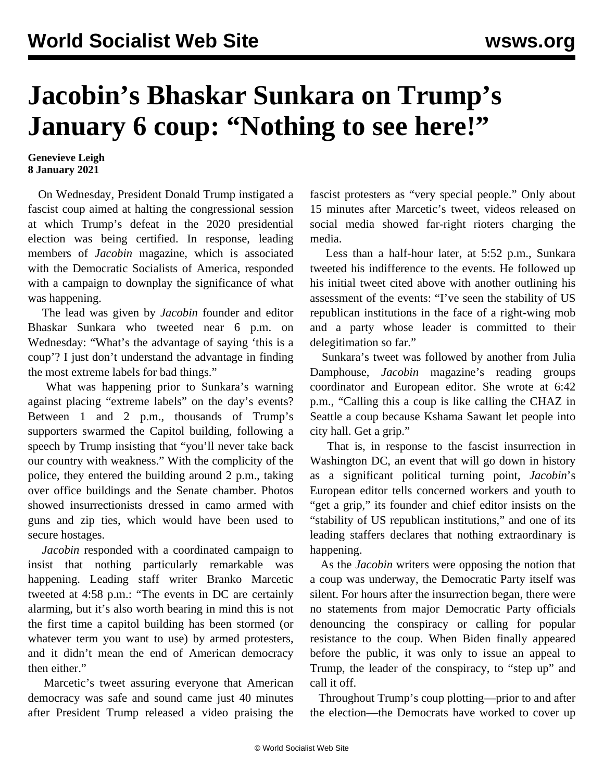## **Jacobin's Bhaskar Sunkara on Trump's January 6 coup: "Nothing to see here!"**

## **Genevieve Leigh 8 January 2021**

 On Wednesday, President Donald Trump instigated a fascist coup aimed at halting the congressional session at which Trump's defeat in the 2020 presidential election was being certified. In response, leading members of *Jacobin* magazine, which is associated with the Democratic Socialists of America, responded with a campaign to downplay the significance of what was happening.

 The lead was given by *Jacobin* founder and editor Bhaskar Sunkara who [tweeted](https://twitter.com/sunraysunray/status/1346952906440732672) near 6 p.m. on Wednesday: "What's the advantage of saying 'this is a coup'? I just don't understand the advantage in finding the most extreme labels for bad things."

 What was happening prior to Sunkara's warning against placing "extreme labels" on the day's events? Between 1 and 2 p.m., thousands of Trump's supporters swarmed the Capitol building, following a speech by Trump insisting that "you'll never take back our country with weakness." With the complicity of the police, they entered the building around 2 p.m., taking over office buildings and the Senate chamber. Photos showed insurrectionists dressed in camo armed with guns and zip ties, which would have been used to secure hostages.

 *Jacobin* responded with a coordinated campaign to insist that nothing particularly remarkable was happening. Leading staff writer Branko Marcetic tweeted at 4:58 p.m.: "The events in DC are certainly alarming, but it's also worth bearing in mind this is not the first time a capitol building has been stormed (or whatever term you want to use) by armed protesters, and it didn't mean the end of American democracy then either."

 Marcetic's tweet assuring everyone that American democracy was safe and sound came just 40 minutes after President Trump released a video praising the fascist protesters as "very special people." Only about 15 minutes after Marcetic's tweet, videos released on social media showed far-right rioters charging the media.

 Less than a half-hour later, at 5:52 p.m., Sunkara tweeted his indifference to the events. He followed up his initial tweet cited above with another outlining his assessment of the events: "I've seen the stability of US republican institutions in the face of a right-wing mob and a party whose leader is committed to their delegitimation so far."

 Sunkara's tweet was followed by another from Julia Damphouse, *Jacobin* magazine's reading groups coordinator and European editor. She wrote at 6:42 p.m., "Calling this a coup is like calling the CHAZ in Seattle a coup because Kshama Sawant let people into city hall. Get a grip."

 That is, in response to the fascist insurrection in Washington DC, an event that will go down in history as a significant political turning point, *Jacobin*'s European editor tells concerned workers and youth to "get a grip," its founder and chief editor insists on the "stability of US republican institutions," and one of its leading staffers declares that nothing extraordinary is happening.

 As the *Jacobin* writers were opposing the notion that a coup was underway, the Democratic Party itself was silent. For hours after the insurrection began, there were no statements from major Democratic Party officials denouncing the conspiracy or calling for popular resistance to the coup. When Biden finally appeared before the public, it was only to issue an appeal to Trump, the leader of the conspiracy, to "step up" and call it off.

 Throughout Trump's coup plotting—prior to and after the election—the Democrats have worked to cover up